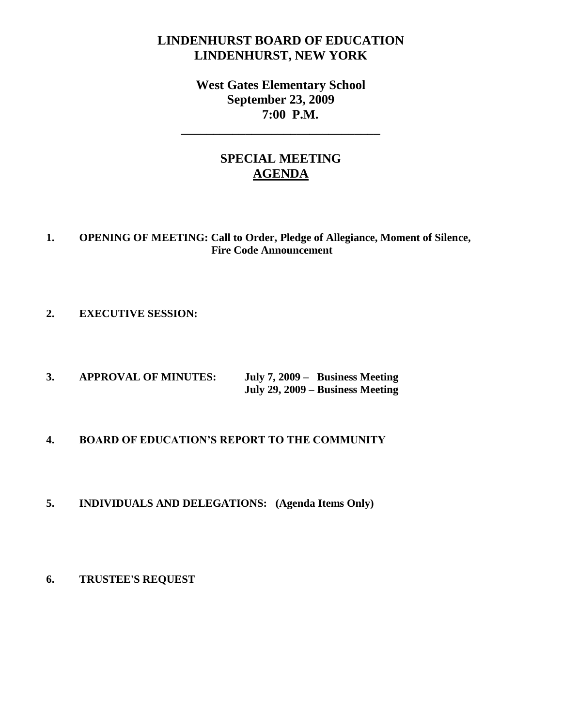# **LINDENHURST BOARD OF EDUCATION LINDENHURST, NEW YORK**

# **West Gates Elementary School September 23, 2009 7:00 P.M.**

**\_\_\_\_\_\_\_\_\_\_\_\_\_\_\_\_\_\_\_\_\_\_\_\_\_\_\_\_\_\_\_**

# **SPECIAL MEETING AGENDA**

## **1. OPENING OF MEETING: Call to Order, Pledge of Allegiance, Moment of Silence, Fire Code Announcement**

## **2. EXECUTIVE SESSION:**

**3. APPROVAL OF MINUTES: July 7, 2009 – Business Meeting July 29, 2009 – Business Meeting**

### **4. BOARD OF EDUCATION'S REPORT TO THE COMMUNITY**

### **5. INDIVIDUALS AND DELEGATIONS: (Agenda Items Only)**

### **6. TRUSTEE'S REQUEST**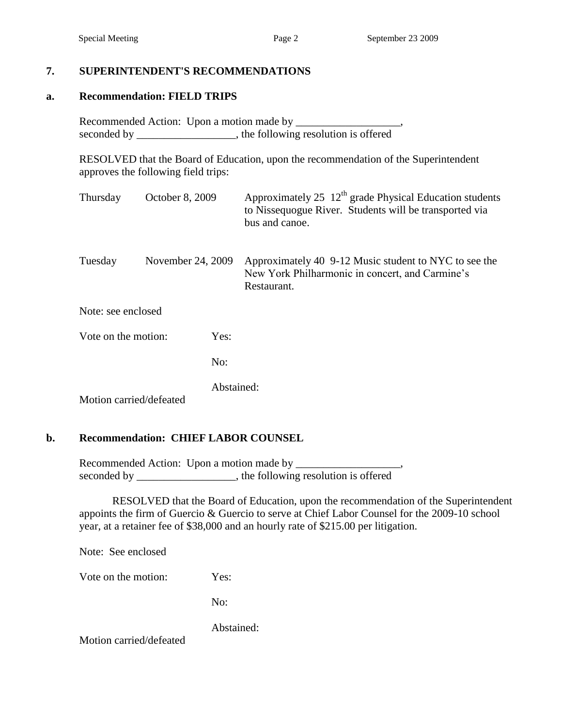### **7. SUPERINTENDENT'S RECOMMENDATIONS**

#### **a. Recommendation: FIELD TRIPS**

Recommended Action: Upon a motion made by \_\_\_\_\_\_\_\_\_\_\_\_\_\_\_\_\_\_\_, seconded by \_\_\_\_\_\_\_\_\_\_\_\_\_\_\_\_, the following resolution is offered

RESOLVED that the Board of Education, upon the recommendation of the Superintendent approves the following field trips:

| Thursday                    | October 8, 2009   |            | Approximately 25 $12th$ grade Physical Education students<br>to Nissequogue River. Students will be transported via<br>bus and canoe. |  |  |
|-----------------------------|-------------------|------------|---------------------------------------------------------------------------------------------------------------------------------------|--|--|
| Tuesday                     | November 24, 2009 |            | Approximately 40 9-12 Music student to NYC to see the<br>New York Philharmonic in concert, and Carmine's<br>Restaurant.               |  |  |
| Note: see enclosed          |                   |            |                                                                                                                                       |  |  |
| Vote on the motion:<br>Yes: |                   |            |                                                                                                                                       |  |  |
|                             |                   | No:        |                                                                                                                                       |  |  |
| Motion carried/defeated     |                   | Abstained: |                                                                                                                                       |  |  |

#### **b. Recommendation: CHIEF LABOR COUNSEL**

Recommended Action: Upon a motion made by \_\_\_\_\_\_\_\_\_\_\_\_\_\_\_\_\_\_\_, seconded by \_\_\_\_\_\_\_\_\_\_\_\_\_\_\_, the following resolution is offered

RESOLVED that the Board of Education, upon the recommendation of the Superintendent appoints the firm of Guercio & Guercio to serve at Chief Labor Counsel for the 2009-10 school year, at a retainer fee of \$38,000 and an hourly rate of \$215.00 per litigation.

Note: See enclosed

Vote on the motion: Yes:

No:

Abstained:

Motion carried/defeated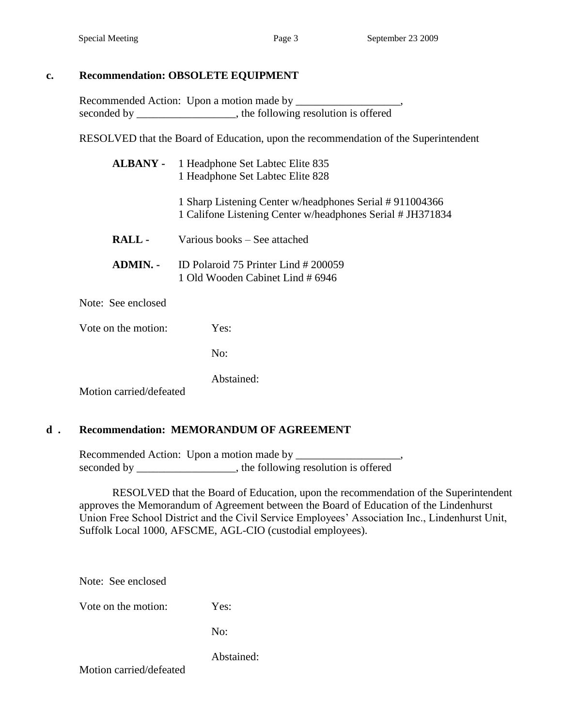Recommended Action: Upon a motion made by \_\_\_\_\_\_\_\_\_\_\_\_\_\_\_\_\_\_\_, seconded by \_\_\_\_\_\_\_\_\_\_\_\_\_\_\_\_, the following resolution is offered

RESOLVED that the Board of Education, upon the recommendation of the Superintendent

|              | <b>ALBANY</b> - 1 Headphone Set Labtec Elite 835<br>1 Headphone Set Labtec Elite 828                                  |
|--------------|-----------------------------------------------------------------------------------------------------------------------|
|              | 1 Sharp Listening Center w/headphones Serial #911004366<br>1 Califone Listening Center w/headphones Serial # JH371834 |
| RALL-        | Various books – See attached                                                                                          |
| ADMIN. -     | ID Polaroid 75 Printer Lind # 200059<br>1 Old Wooden Cabinet Lind # 6946                                              |
| See enclosed |                                                                                                                       |

Vote on the motion: Yes:

Note:

No:

Abstained:

Motion carried/defeated

### **d . Recommendation: MEMORANDUM OF AGREEMENT**

Recommended Action: Upon a motion made by \_\_\_\_\_\_\_\_\_\_\_\_\_\_\_\_\_\_\_, seconded by \_\_\_\_\_\_\_\_\_\_\_\_\_\_\_, the following resolution is offered

RESOLVED that the Board of Education, upon the recommendation of the Superintendent approves the Memorandum of Agreement between the Board of Education of the Lindenhurst Union Free School District and the Civil Service Employees' Association Inc., Lindenhurst Unit, Suffolk Local 1000, AFSCME, AGL-CIO (custodial employees).

Note: See enclosed

Vote on the motion: Yes:

No:

Abstained:

Motion carried/defeated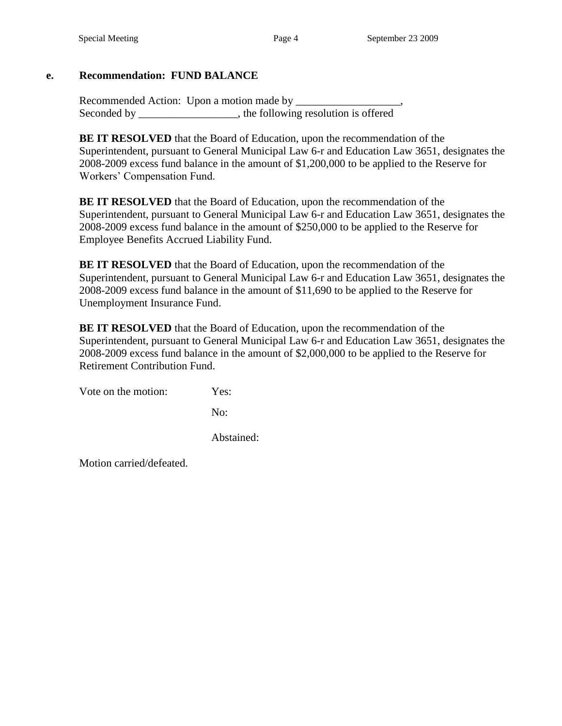## **e. Recommendation: FUND BALANCE**

Recommended Action: Upon a motion made by \_\_\_\_\_\_\_\_\_\_\_\_\_\_\_\_\_\_\_, Seconded by \_\_\_\_\_\_\_\_\_\_\_\_\_\_\_\_, the following resolution is offered

**BE IT RESOLVED** that the Board of Education, upon the recommendation of the Superintendent, pursuant to General Municipal Law 6-r and Education Law 3651, designates the 2008-2009 excess fund balance in the amount of \$1,200,000 to be applied to the Reserve for Workers' Compensation Fund.

**BE IT RESOLVED** that the Board of Education, upon the recommendation of the Superintendent, pursuant to General Municipal Law 6-r and Education Law 3651, designates the 2008-2009 excess fund balance in the amount of \$250,000 to be applied to the Reserve for Employee Benefits Accrued Liability Fund.

**BE IT RESOLVED** that the Board of Education, upon the recommendation of the Superintendent, pursuant to General Municipal Law 6-r and Education Law 3651, designates the 2008-2009 excess fund balance in the amount of \$11,690 to be applied to the Reserve for Unemployment Insurance Fund.

**BE IT RESOLVED** that the Board of Education, upon the recommendation of the Superintendent, pursuant to General Municipal Law 6-r and Education Law 3651, designates the 2008-2009 excess fund balance in the amount of \$2,000,000 to be applied to the Reserve for Retirement Contribution Fund.

Vote on the motion: Yes:

No:

Abstained:

Motion carried/defeated.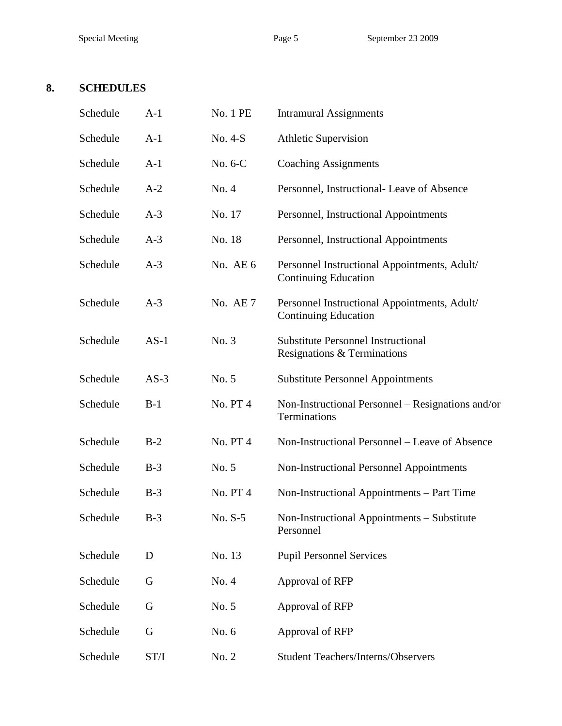# **8. SCHEDULES**

| Schedule | $A-1$  | No. 1 PE       | <b>Intramural Assignments</b>                                               |  |  |
|----------|--------|----------------|-----------------------------------------------------------------------------|--|--|
| Schedule | $A-1$  | No. 4-S        | <b>Athletic Supervision</b>                                                 |  |  |
| Schedule | $A-1$  | No. 6-C        | <b>Coaching Assignments</b>                                                 |  |  |
| Schedule | $A-2$  | No. 4          | Personnel, Instructional- Leave of Absence                                  |  |  |
| Schedule | $A-3$  | No. 17         | Personnel, Instructional Appointments                                       |  |  |
| Schedule | $A-3$  | No. 18         | Personnel, Instructional Appointments                                       |  |  |
| Schedule | $A-3$  | No. AE 6       | Personnel Instructional Appointments, Adult/<br><b>Continuing Education</b> |  |  |
| Schedule | $A-3$  | No. $AE7$      | Personnel Instructional Appointments, Adult/<br><b>Continuing Education</b> |  |  |
| Schedule | $AS-1$ | No. 3          | <b>Substitute Personnel Instructional</b><br>Resignations & Terminations    |  |  |
| Schedule | $AS-3$ | No. 5          | <b>Substitute Personnel Appointments</b>                                    |  |  |
| Schedule | $B-1$  | <b>No. PT4</b> | Non-Instructional Personnel – Resignations and/or<br>Terminations           |  |  |
| Schedule | $B-2$  | No. PT4        | Non-Instructional Personnel – Leave of Absence                              |  |  |
| Schedule | $B-3$  | No. 5          | <b>Non-Instructional Personnel Appointments</b>                             |  |  |
| Schedule | $B-3$  | No. PT4        | Non-Instructional Appointments – Part Time                                  |  |  |
| Schedule | $B-3$  | No. $S-5$      | Non-Instructional Appointments – Substitute<br>Personnel                    |  |  |
| Schedule | D      | No. 13         | <b>Pupil Personnel Services</b>                                             |  |  |
| Schedule | G      | No. 4          | Approval of RFP                                                             |  |  |
| Schedule | G      | No. 5          | Approval of RFP                                                             |  |  |
| Schedule | G      | No. 6          | Approval of RFP                                                             |  |  |
| Schedule | ST/I   | No. 2          | <b>Student Teachers/Interns/Observers</b>                                   |  |  |